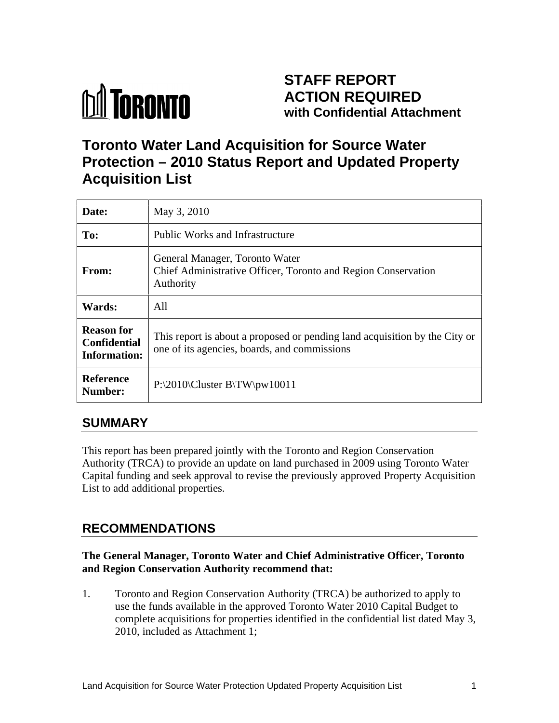

# **STAFF REPORT ACTION REQUIRED with Confidential Attachment**

# **Toronto Water Land Acquisition for Source Water Protection – 2010 Status Report and Updated Property Acquisition List**

| Date:                                                    | May 3, 2010                                                                                                                  |
|----------------------------------------------------------|------------------------------------------------------------------------------------------------------------------------------|
| To:                                                      | Public Works and Infrastructure                                                                                              |
| From:                                                    | General Manager, Toronto Water<br>Chief Administrative Officer, Toronto and Region Conservation<br>Authority                 |
| Wards:                                                   | All                                                                                                                          |
| <b>Reason for</b><br>Confidential<br><b>Information:</b> | This report is about a proposed or pending land acquisition by the City or  <br>one of its agencies, boards, and commissions |
| Reference<br>Number:                                     | $P:\2010\CLuster B\TW\pw10011$                                                                                               |

# **SUMMARY**

This report has been prepared jointly with the Toronto and Region Conservation Authority (TRCA) to provide an update on land purchased in 2009 using Toronto Water Capital funding and seek approval to revise the previously approved Property Acquisition List to add additional properties.

# **RECOMMENDATIONS**

#### **The General Manager, Toronto Water and Chief Administrative Officer, Toronto and Region Conservation Authority recommend that:**

1. Toronto and Region Conservation Authority (TRCA) be authorized to apply to use the funds available in the approved Toronto Water 2010 Capital Budget to complete acquisitions for properties identified in the confidential list dated May 3, 2010, included as Attachment 1;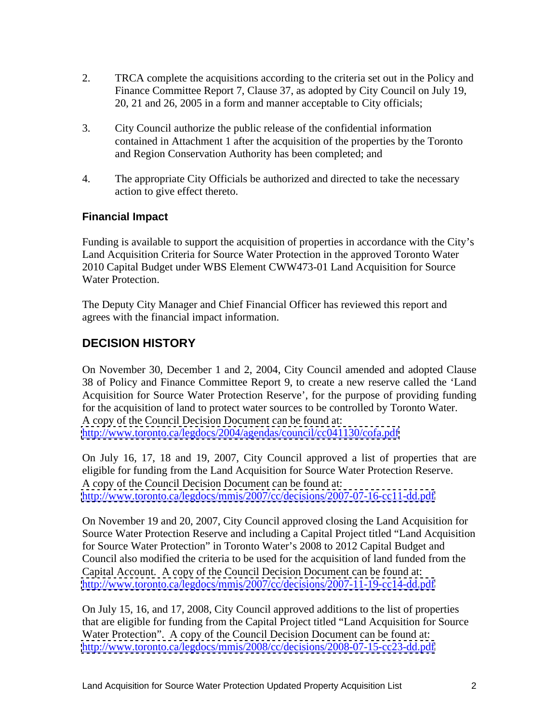- 2. TRCA complete the acquisitions according to the criteria set out in the Policy and Finance Committee Report 7, Clause 37, as adopted by City Council on July 19, 20, 21 and 26, 2005 in a form and manner acceptable to City officials;
- 3. City Council authorize the public release of the confidential information contained in Attachment 1 after the acquisition of the properties by the Toronto and Region Conservation Authority has been completed; and
- 4. The appropriate City Officials be authorized and directed to take the necessary action to give effect thereto.

#### **Financial Impact**

Funding is available to support the acquisition of properties in accordance with the City's Land Acquisition Criteria for Source Water Protection in the approved Toronto Water 2010 Capital Budget under WBS Element CWW473-01 Land Acquisition for Source Water Protection.

The Deputy City Manager and Chief Financial Officer has reviewed this report and agrees with the financial impact information.

#### **DECISION HISTORY**

On November 30, December 1 and 2, 2004, City Council amended and adopted Clause 38 of Policy and Finance Committee Report 9, to create a new reserve called the 'Land Acquisition for Source Water Protection Reserve', for the purpose of providing funding for the acquisition of land to protect water sources to be controlled by Toronto Water. A copy of the Council Decision Document can be found at: <http://www.toronto.ca/legdocs/2004/agendas/council/cc041130/cofa.pdf>

On July 16, 17, 18 and 19, 2007, City Council approved a list of properties that are eligible for funding from the Land Acquisition for Source Water Protection Reserve. A copy of the Council Decision Document can be found at: <http://www.toronto.ca/legdocs/mmis/2007/cc/decisions/2007-07-16-cc11-dd.pdf>

On November 19 and 20, 2007, City Council approved closing the Land Acquisition for Source Water Protection Reserve and including a Capital Project titled "Land Acquisition for Source Water Protection" in Toronto Water's 2008 to 2012 Capital Budget and Council also modified the criteria to be used for the acquisition of land funded from the Capital Account. A copy of the Council Decision Document can be found at: <http://www.toronto.ca/legdocs/mmis/2007/cc/decisions/2007-11-19-cc14-dd.pdf>

On July 15, 16, and 17, 2008, City Council approved additions to the list of properties that are eligible for funding from the Capital Project titled "Land Acquisition for Source Water Protection". A copy of the Council Decision Document can be found at: <http://www.toronto.ca/legdocs/mmis/2008/cc/decisions/2008-07-15-cc23-dd.pdf>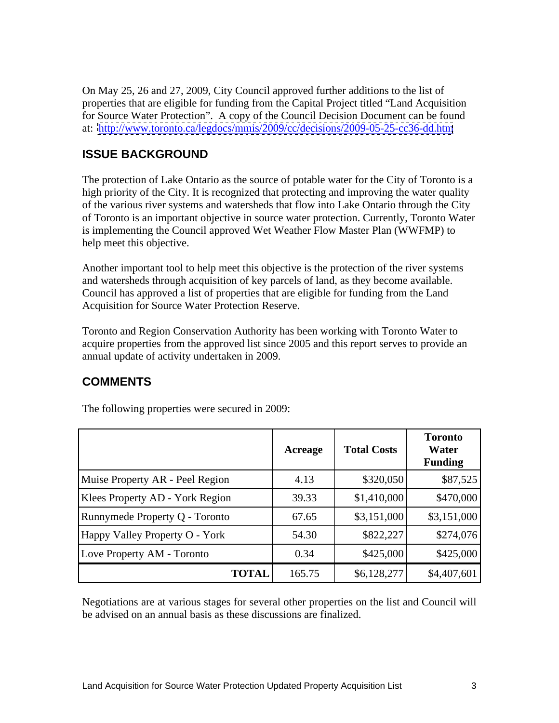On May 25, 26 and 27, 2009, City Council approved further additions to the list of properties that are eligible for funding from the Capital Project titled "Land Acquisition for Source Water Protection". A copy of the Council Decision Document can be found at: <http://www.toronto.ca/legdocs/mmis/2009/cc/decisions/2009-05-25-cc36-dd.htm>

### **ISSUE BACKGROUND**

The protection of Lake Ontario as the source of potable water for the City of Toronto is a high priority of the City. It is recognized that protecting and improving the water quality of the various river systems and watersheds that flow into Lake Ontario through the City of Toronto is an important objective in source water protection. Currently, Toronto Water is implementing the Council approved Wet Weather Flow Master Plan (WWFMP) to help meet this objective.

Another important tool to help meet this objective is the protection of the river systems and watersheds through acquisition of key parcels of land, as they become available. Council has approved a list of properties that are eligible for funding from the Land Acquisition for Source Water Protection Reserve.

Toronto and Region Conservation Authority has been working with Toronto Water to acquire properties from the approved list since 2005 and this report serves to provide an annual update of activity undertaken in 2009.

# **COMMENTS**

|                                 | Acreage | <b>Total Costs</b> | <b>Toronto</b><br>Water<br><b>Funding</b> |
|---------------------------------|---------|--------------------|-------------------------------------------|
| Muise Property AR - Peel Region | 4.13    | \$320,050          | \$87,525                                  |
| Klees Property AD - York Region | 39.33   | \$1,410,000        | \$470,000                                 |
| Runnymede Property Q - Toronto  | 67.65   | \$3,151,000        | \$3,151,000                               |
| Happy Valley Property O - York  | 54.30   | \$822,227          | \$274,076                                 |
| Love Property AM - Toronto      | 0.34    | \$425,000          | \$425,000                                 |
| <b>TOTAL</b>                    | 165.75  | \$6,128,277        | \$4,407,601                               |

The following properties were secured in 2009:

Negotiations are at various stages for several other properties on the list and Council will be advised on an annual basis as these discussions are finalized.